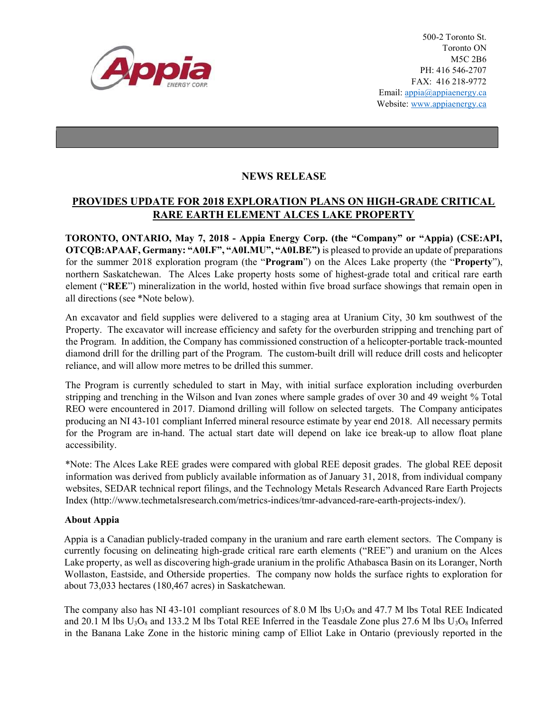

500-2 Toronto St. Toronto ON M5C 2B6 PH: 416 546-2707 FAX: 416 218-9772 Email: appia@appiaenergy.ca Website: www.appiaenergy.ca

## NEWS RELEASE

## PROVIDES UPDATE FOR 2018 EXPLORATION PLANS ON HIGH-GRADE CRITICAL RARE EARTH ELEMENT ALCES LAKE PROPERTY

TORONTO, ONTARIO, May 7, 2018 - Appia Energy Corp. (the "Company" or "Appia) (CSE:API, OTCQB:APAAF, Germany: "A0I.F", "A0I.MU", "A0I.BE") is pleased to provide an update of preparations for the summer 2018 exploration program (the "Program") on the Alces Lake property (the "Property"), northern Saskatchewan. The Alces Lake property hosts some of highest-grade total and critical rare earth element ("REE") mineralization in the world, hosted within five broad surface showings that remain open in all directions (see \*Note below).

An excavator and field supplies were delivered to a staging area at Uranium City, 30 km southwest of the Property. The excavator will increase efficiency and safety for the overburden stripping and trenching part of the Program. In addition, the Company has commissioned construction of a helicopter-portable track-mounted diamond drill for the drilling part of the Program. The custom-built drill will reduce drill costs and helicopter reliance, and will allow more metres to be drilled this summer.

The Program is currently scheduled to start in May, with initial surface exploration including overburden stripping and trenching in the Wilson and Ivan zones where sample grades of over 30 and 49 weight % Total REO were encountered in 2017. Diamond drilling will follow on selected targets. The Company anticipates producing an NI 43-101 compliant Inferred mineral resource estimate by year end 2018. All necessary permits for the Program are in-hand. The actual start date will depend on lake ice break-up to allow float plane accessibility.

\*Note: The Alces Lake REE grades were compared with global REE deposit grades. The global REE deposit information was derived from publicly available information as of January 31, 2018, from individual company websites, SEDAR technical report filings, and the Technology Metals Research Advanced Rare Earth Projects Index (http://www.techmetalsresearch.com/metrics-indices/tmr-advanced-rare-earth-projects-index/).

## About Appia

Appia is a Canadian publicly-traded company in the uranium and rare earth element sectors. The Company is currently focusing on delineating high-grade critical rare earth elements ("REE") and uranium on the Alces Lake property, as well as discovering high-grade uranium in the prolific Athabasca Basin on its Loranger, North Wollaston, Eastside, and Otherside properties. The company now holds the surface rights to exploration for about 73,033 hectares (180,467 acres) in Saskatchewan.

The company also has NI 43-101 compliant resources of 8.0 M lbs  $U_3O_8$  and 47.7 M lbs Total REE Indicated and 20.1 M lbs  $U_3O_8$  and 133.2 M lbs Total REE Inferred in the Teasdale Zone plus 27.6 M lbs  $U_3O_8$  Inferred in the Banana Lake Zone in the historic mining camp of Elliot Lake in Ontario (previously reported in the